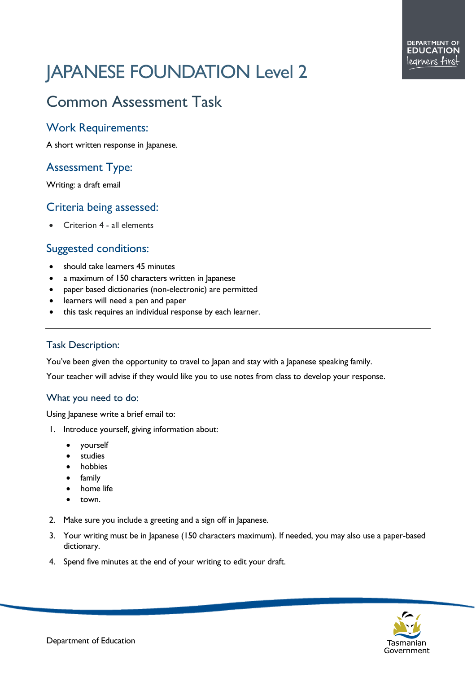# JAPANESE FOUNDATION Level 2

## Common Assessment Task

#### Work Requirements:

A short written response in Japanese.

### Assessment Type:

Writing: a draft email

#### Criteria being assessed:

• Criterion 4 - all elements

#### Suggested conditions:

- should take learners 45 minutes
- a maximum of 150 characters written in Japanese
- paper based dictionaries (non-electronic) are permitted
- learners will need a pen and paper
- this task requires an individual response by each learner.

#### Task Description:

You've been given the opportunity to travel to Japan and stay with a Japanese speaking family.

Your teacher will advise if they would like you to use notes from class to develop your response.

#### What you need to do:

Using Japanese write a brief email to:

- 1. Introduce yourself, giving information about:
	- yourself
	- **studies**
	- **hobbies**
	- family
	- home life
	- town.
- 2. Make sure you include a greeting and a sign off in Japanese.
- 3. Your writing must be in Japanese (150 characters maximum). If needed, you may also use a paper-based dictionary.
- 4. Spend five minutes at the end of your writing to edit your draft.